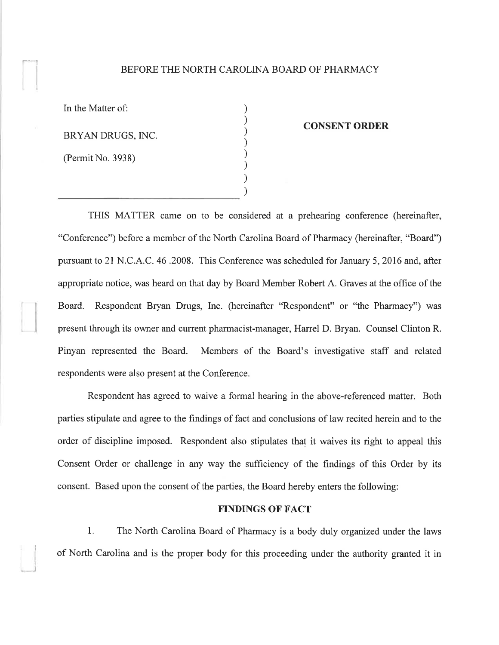## BEFORE THE NORTH CAROLINA BOARD OF PHARMACY

) ) ) ) ) ) ) )

In the Matter of: BRYAN DRUGS, INC. (Permit No. 3938)

 $\overline{t}$ 

¡

- -J

#### CONSENT ORDER

THIS MATTER came on to be considered at a prehearing conference (hereinafter, "Conference") before a member of the North Carolina Board of Pharmacy (hereinafter, "Board") pursuant to 21 N.C.A.C. 46.2008. This Conference was scheduled for January 5,2016 and, after appropriate notice, was heard on that day by Board Member Robert A. Graves at the office of the Board. Respondent Bryan Drugs, Inc. (hereinafter "Respondent" or "the Pharmacy") was present through its owner and current pharmacist-manager, Harrel D. Bryan. Counsel Clinton R. Pinyan represented the Board. Members of the Board's investigative staff and related respondents were also present at the Conference.

Respondent has agreed to waive a formal hearing in the above-referenced matter. Both parties stipulate and agree to the findings of fact and conclusions of law recited herein and to the order of discipline imposed. Respondent also stipulates that it waives its right to appeal this Consent Order or challenge in any way the sufficiency of the findings of this Order by its consent. Based upon the consent of the parties, the Board hereby enters the following:

### FINDINGS OF FACT

1. The North Carolina Board of Pharmacy is a body duly organized under the laws of North Carolina and is the proper body for this proceeding under the authority granted it in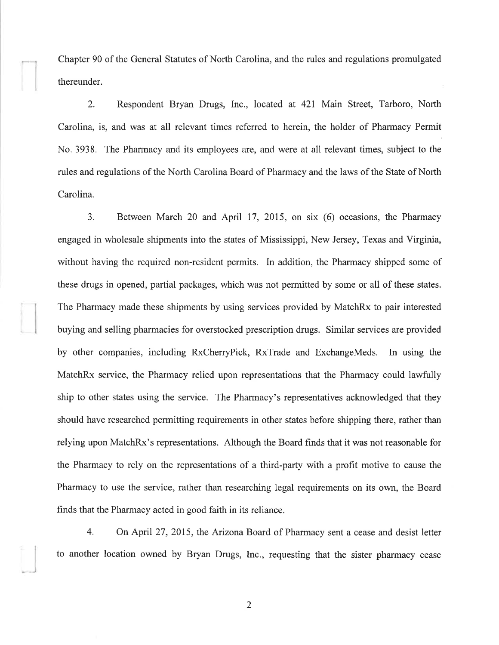<sup>I</sup> Chapter 90 of the General Statutes of North Carolina, and the rules and regulations promulgated thereunder.

2. Respondent Bryan Drugs, Inc., located at 421 Main Street, Tarboro, North Carolina, is, and was at all relevant times referred to herein, the holder of Pharmacy Permit No. 3938. The Pharmacy and its employees are, and were at all relevant times, subject to the rules and regulations of the North Carolina Board of Pharmacy and the laws of the State of North Carolina.

3. Between March 20 and April 17, 2015, on six (6) occasions, the Pharmacy engaged in wholesale shipments into the states of Mississippi, New Jersey, Texas and Virginia, without having the required non-resident permits. In addition, the Pharmacy shipped some of these drugs in opened, partial packages, which was not permitted by some or all of these states. The Pharmacy made these shipments by using services provided by MatchRx to pair interested buying and selling pharmacies for overstocked prescription drugs. Similar services are provided by other companies, including RxCherryPick, RxTrade and ExchangeMeds. In using the MatchRx service, the Pharmacy relied upon representations that the Pharmacy could lawfully ship to other states using the service. The Pharmacy's representatives acknowledged that they should have researched permitting requirements in other states before shipping there, rather than relying upon MatchRx's representations. Although the Board finds that it was not reasonable for the Pharmacy to rely on the representations of a third-party with a profit motive to cause the Pharmacy to use the service, rather than researching legal requirements on its own, the Board finds that the Pharmacy acted in good faith in its reliance.

4. On April 27,2015, the Arizona Board of Pharmacy sent a cease and desist letter to another location owned by Bryan Drugs, Inc., requesting that the sister pharmacy cease

2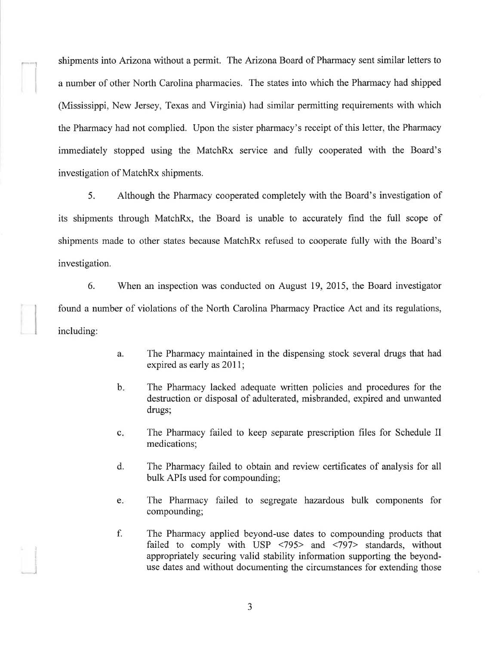shipments into Arizona without a permit. The Arizona Board of Pharmacy sent similar letters to a number of other North Carolina pharmacies. The states into which the Pharmacy had shipped (Mississippi, New Jersey, Texas and Virginia) had similar permitting requirements with which the Pharmacy had not complied. Upon the sister pharmacy's receipt of this letter, the Pharmacy immediately stopped using the MatchRx service and fully cooperated with the Board's investigation of MatchRx shipments.

I

,-l

5. Although the Pharmacy cooperated completely with the Board's investigation of its shipments through MatchRx, the Board is unable to accurately find the full scope of shipments made to other states because MatchRx refused to cooperate fully with the Board's investigation.

6. V/hen an inspection was conducted on August 19,2015, the Board investigator found a number of violations of the North Carolina Pharmacy Practice Act and its regulations, including:

- The Pharmacy maintained in the dispensing stock several drugs that had expired as early as 2011; a.
- The Pharmacy lacked adequate written policies and procedures for the destruction or disposal of adulterated, misbranded, expired and unwanted drugs;  $\mathbf{b}$ .
- The Pharmacy failed to keep separate prescription files for Schedule II medications;  $c$ .
- The Pharmacy failed to obtain and review certificates of analysis for all bulk APIs used for compounding; d.
- The Pharmacy failed to segregate hazardous bulk components for compounding; e
- The Pharmacy applied beyond-use dates to compounding products that failed to comply with USP  $\langle 795 \rangle$  and  $\langle 797 \rangle$  standards, without appropriately securing valid stability information supporting the beyonduse dates and without documenting the circumstances for extending those f.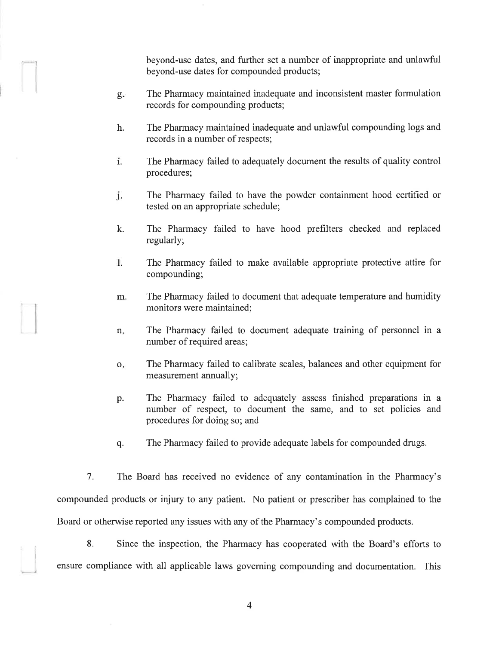beyond-use dates, and further set a number of inappropriate and unlawful beyond-use dates for compounded products;

The Pharmacy maintained inadequate and inconsistent master formulation records for compounding products; o Þ

 $\rightarrow$ --l

l

",1

- The Pharmacy maintained inadequate and unlawful compounding logs and records in a number of respects; h.
- The Pharmacy failed to adequately document the results of quality control procedures; 1.
- The Pharmacy failed to have the powder containment hood certified or tested on an appropriate schedule; j.
- The Pharmacy failed to have hood prefilters checked and replaced regularly; k.
- 1. The Pharmacy failed to make available appropriate protective attire for compounding;
- The Pharmacy failed to document that adequate temperature and humidity monitors were maintained; m.
- The Pharmacy failed to document adequate training of personnel in <sup>a</sup> number of required areas; n
- The Pharmacy failed to calibrate scales, balances and other equipment for measurement annually; o
- The Pharmacy failed to adequately assess finished preparations in <sup>a</sup> number of respect, to document the same, and to set policies and procedures for doing so; and p.
- q. The Pharmacy failed to provide adequate labels for compounded drugs.

7. The Board has received no evidence of any contamination in the Pharmacy's compounded products or injury to any patient. No patient or prescriber has complained to the Board or otherwise reported any issues with any of the Pharmacy's compounded products.

8. Since the inspection, the Pharmacy has cooperated with the Board's efforts to ensure compliance with all applicable laws governing compounding and documentation. This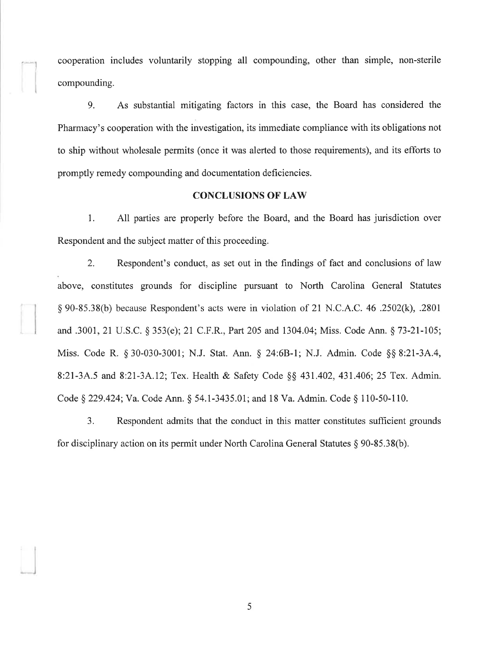cooperation includes voluntarily stopping all compounding, other than simple, non-sterile compounding.

9. As substantial mitigating factors in this case, the Board has considered the Pharmacy's cooperation with the investigation, its immediate compliance with its obligations not to ship without wholesale permits (once it was alerted to those requirements), and its efforts to promptly remedy compounding and documentation deficiencies.

## **CONCLUSIONS OF LAW**

1. All parties are properly before the Board, and the Board has jurisdiction over Respondent and the subject matter of this proceeding.

2. Respondent's conduct, as set out in the findings of fact and conclusions of law above, constitutes grounds for discipline pursuant to North Carolina General Statutes \$ 90-85.38(b) because Respondent's acts were in violation of 21 N.C.A.C.46 .2502(k), .2801 and .3001, 21 U.S.C. \$ 353(e); 21 C.F.R., Part205 and 1304.04; Miss. Code Ann. \$ 73-21-105; Miss. Code R. \$ 30-030-3001; N.J. Stat. Ann. \$ 24:68-1; N.J. Admin. Code \$\$ 8:21-3A.4, 8:21-3A.5 and 8:21-3A.12; Tex. Health & Safety Code §§ 431.402, 431.406; 25 Tex. Admin. Code § 229.424; Va. Code Ann. § 54.1-3435.01; and 18 Va. Admin. Code § 110-50-110.

3. Respondent admits that the conduct in this matter constitutes sufficient grounds for disciplinary action on its permit under North Carolina General Statutes  $\S$  90-85.38(b).

5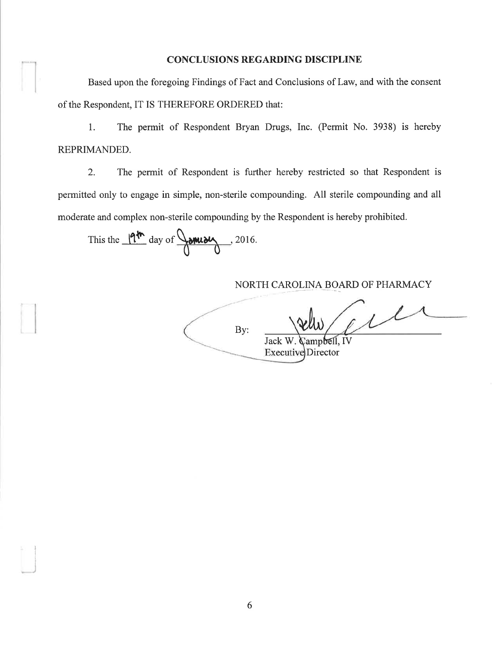## **CONCLUSIONS REGARDING DISCIPLINE**

Based upon the foregoing Findings of Fact and Conclusions of Law, and with the consent of the Respondent, IT IS THEREFORE ORDERED that:

 $1.$ The permit of Respondent Bryan Drugs, Inc. (Permit No. 3938) is hereby REPRIMANDED.

 $\overline{2}$ . The permit of Respondent is further hereby restricted so that Respondent is permitted only to engage in simple, non-sterile compounding. All sterile compounding and all moderate and complex non-sterile compounding by the Respondent is hereby prohibited.

This the  $19^{th}$  day of  $\frac{1}{19^{th}}$ , 2016.

# NORTH CAROLINA BOARD OF PHARMACY

 $1/$ By: Campbell, IV Jack W. **Executive Director**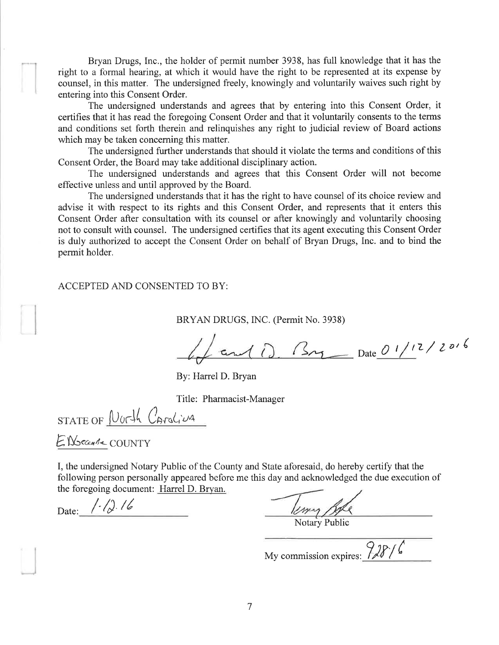Bryan Drugs, Inc., the holder of permit number 3938, has full knowledge that it has the right to a formal hearing, at which it would have the right to be represented at its expense by counsel, in this matter. The undersigned freely, knowingly and voluntarily waives such right by entering into this Consent Order.

The undersigned understands and agrees that by entering into this Consent Order, it certifies that it has read the foregoing Consent Order and that it voluntarily consents to the terms and conditions set forth therein and relinquishes any right to judicial review of Board actions which may be taken concerning this matter.

The undersigned further understands that should it violate the terms and conditions of this Consent Order, the Board may take additional disciplinary action.

The undersigned understands and agrees that this Consent Order will not become effective unless and until approved by the Board.

The undersigned understands that it has the right to have counsel of its choice review and advise it with respect to its rights and this Consent Order, and represents that it enters this Consent Order after consultation with its counsel or after knowingly and voluntarily choosing not to consult with counsel. The undersigned certifies that its agent executing this Consent Order is duly authorized to accept the Consent Order on behalf of Bryan Drugs, Inc. and to bind the permit holder.

#### ACCEPTED AND CONSENTED TO BY:

BRYAN DRUGS, INC. (Permit No. 3938)

 $\frac{1}{2}$  and ()  $\frac{2\pi}{2}$  Date  $\frac{0!}{1!}$  2/2016

By: Harrel D. Bryan

Title: Pharmacist-Manager

 $STATE OF North$   $Caraliva$ 

ENGCCARE COUNTY

I, the undersigned Notary Public of the County and State aforesaid, do hereby certify that the following person personally appeared before me this day and acknowledged the due execution of the foregoing document: Harrel D. Bryan.

Date:  $/$ - $/$ ). 16

**Liver Bell**<br>Notary Public

My commission expires:  $\frac{9}{8}$